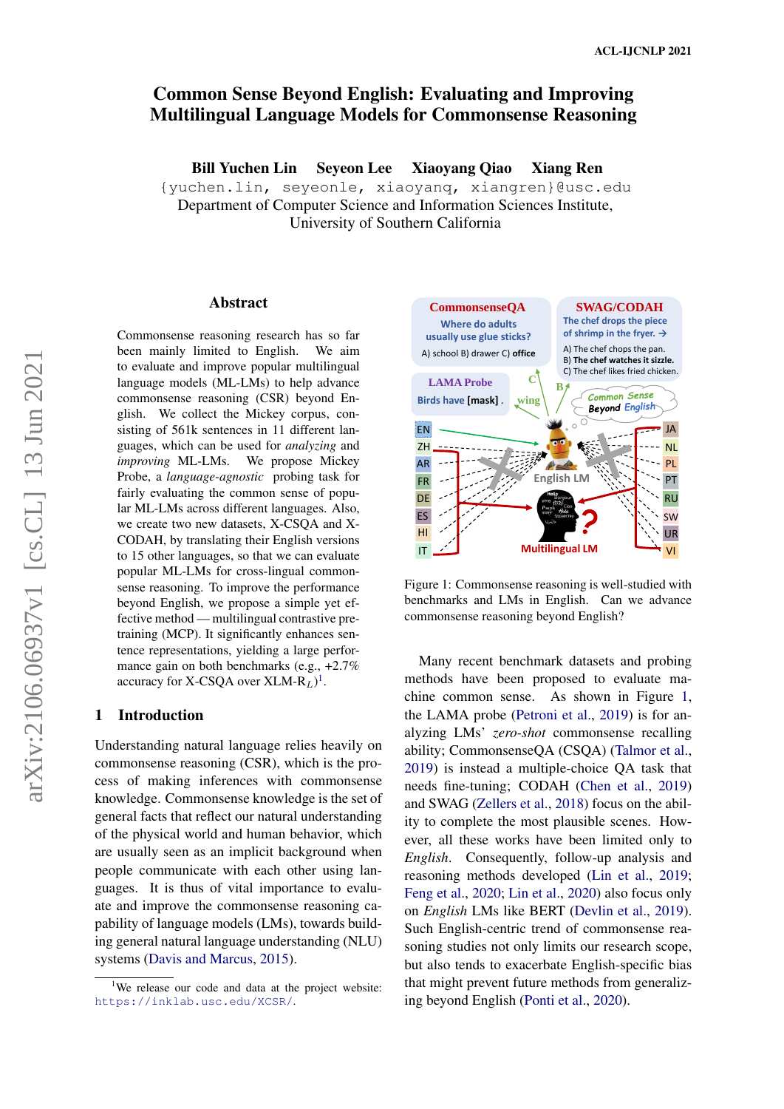# Common Sense Beyond English: Evaluating and Improving Multilingual Language Models for Commonsense Reasoning

Bill Yuchen Lin Seyeon Lee Xiaoyang Qiao Xiang Ren

{yuchen.lin, seyeonle, xiaoyanq, xiangren}@usc.edu Department of Computer Science and Information Sciences Institute, University of Southern California

#### Abstract

Commonsense reasoning research has so far been mainly limited to English. We aim to evaluate and improve popular multilingual language models (ML-LMs) to help advance commonsense reasoning (CSR) beyond English. We collect the Mickey corpus, consisting of 561k sentences in 11 different languages, which can be used for *analyzing* and *improving* ML-LMs. We propose Mickey Probe, a *language-agnostic* probing task for fairly evaluating the common sense of popular ML-LMs across different languages. Also, we create two new datasets, X-CSQA and X-CODAH, by translating their English versions to 15 other languages, so that we can evaluate popular ML-LMs for cross-lingual commonsense reasoning. To improve the performance beyond English, we propose a simple yet effective method — multilingual contrastive pretraining (MCP). It significantly enhances sentence representations, yielding a large performance gain on both benchmarks (e.g., +2.7% accuracy for X-CSQA over  $\text{XLM-R}_L$ <sup>[1](#page-0-0)</sup>.

#### 1 Introduction

Understanding natural language relies heavily on commonsense reasoning (CSR), which is the process of making inferences with commonsense knowledge. Commonsense knowledge is the set of general facts that reflect our natural understanding of the physical world and human behavior, which are usually seen as an implicit background when people communicate with each other using languages. It is thus of vital importance to evaluate and improve the commonsense reasoning capability of language models (LMs), towards building general natural language understanding (NLU) systems [\(Davis and Marcus,](#page-10-0) [2015\)](#page-10-0).

<span id="page-0-1"></span>

Figure 1: Commonsense reasoning is well-studied with benchmarks and LMs in English. Can we advance commonsense reasoning beyond English?

Many recent benchmark datasets and probing methods have been proposed to evaluate machine common sense. As shown in Figure [1,](#page-0-1) the LAMA probe [\(Petroni et al.,](#page-10-1) [2019\)](#page-10-1) is for analyzing LMs' *zero-shot* commonsense recalling ability; CommonsenseQA (CSQA) [\(Talmor et al.,](#page-11-0) [2019\)](#page-11-0) is instead a multiple-choice QA task that needs fine-tuning; CODAH [\(Chen et al.,](#page-9-0) [2019\)](#page-9-0) and SWAG [\(Zellers et al.,](#page-11-1) [2018\)](#page-11-1) focus on the ability to complete the most plausible scenes. However, all these works have been limited only to *English*. Consequently, follow-up analysis and reasoning methods developed [\(Lin et al.,](#page-10-2) [2019;](#page-10-2) [Feng et al.,](#page-10-3) [2020;](#page-10-3) [Lin et al.,](#page-10-4) [2020\)](#page-10-4) also focus only on *English* LMs like BERT [\(Devlin et al.,](#page-10-5) [2019\)](#page-10-5). Such English-centric trend of commonsense reasoning studies not only limits our research scope, but also tends to exacerbate English-specific bias that might prevent future methods from generalizing beyond English [\(Ponti et al.,](#page-11-2) [2020\)](#page-11-2).

<span id="page-0-0"></span><sup>&</sup>lt;sup>1</sup>We release our code and data at the project website: <https://inklab.usc.edu/XCSR/>.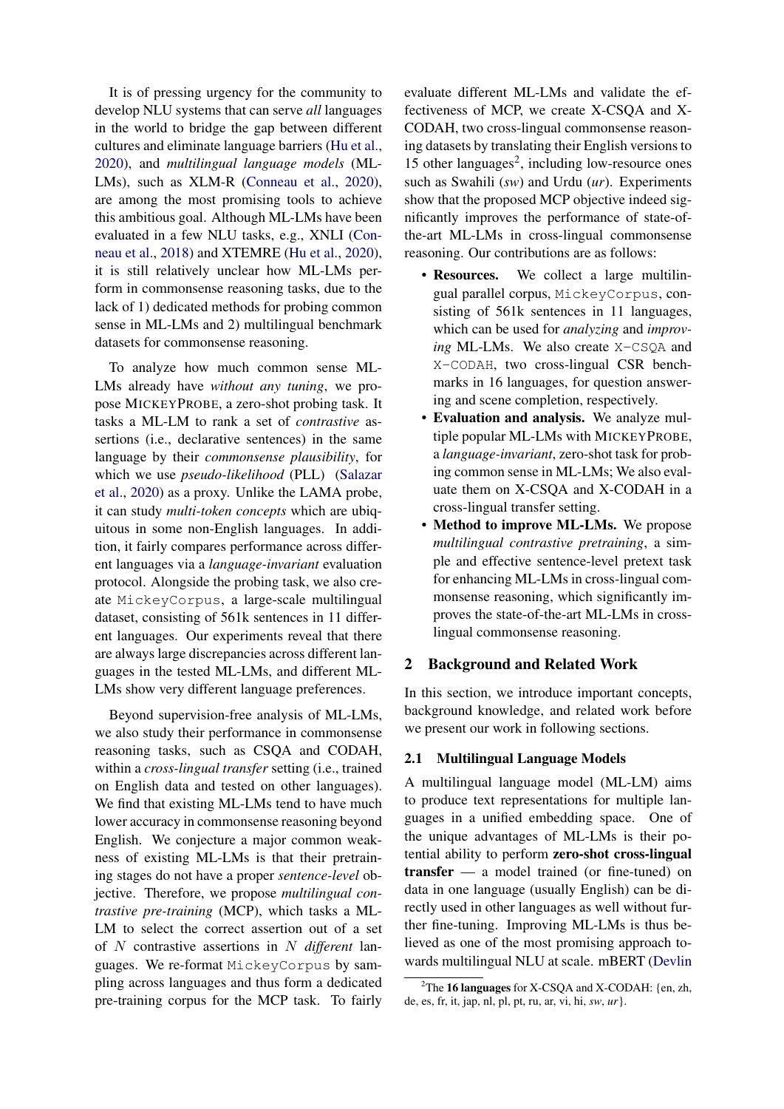It is of pressing urgency for the community to develop NLU systems that can serve *all* languages in the world to bridge the gap between different cultures and eliminate language barriers [\(Hu et al.,](#page-10-6) [2020\)](#page-10-6), and *multilingual language models* (ML-LMs), such as XLM-R [\(Conneau et al.,](#page-9-1) [2020\)](#page-9-1), are among the most promising tools to achieve this ambitious goal. Although ML-LMs have been evaluated in a few NLU tasks, e.g., XNLI [\(Con](#page-9-2)[neau et al.,](#page-9-2) [2018\)](#page-9-2) and XTEMRE [\(Hu et al.,](#page-10-6) [2020\)](#page-10-6), it is still relatively unclear how ML-LMs perform in commonsense reasoning tasks, due to the lack of 1) dedicated methods for probing common sense in ML-LMs and 2) multilingual benchmark datasets for commonsense reasoning.

To analyze how much common sense ML-LMs already have *without any tuning*, we propose MICKEYPROBE, a zero-shot probing task. It tasks a ML-LM to rank a set of *contrastive* assertions (i.e., declarative sentences) in the same language by their *commonsense plausibility*, for which we use *pseudo-likelihood* (PLL) [\(Salazar](#page-11-3) [et al.,](#page-11-3) [2020\)](#page-11-3) as a proxy. Unlike the LAMA probe, it can study *multi-token concepts* which are ubiquitous in some non-English languages. In addition, it fairly compares performance across different languages via a *language-invariant* evaluation protocol. Alongside the probing task, we also create MickeyCorpus, a large-scale multilingual dataset, consisting of 561k sentences in 11 different languages. Our experiments reveal that there are always large discrepancies across different languages in the tested ML-LMs, and different ML-LMs show very different language preferences.

Beyond supervision-free analysis of ML-LMs, we also study their performance in commonsense reasoning tasks, such as CSQA and CODAH, within a *cross-lingual transfer* setting (i.e., trained on English data and tested on other languages). We find that existing ML-LMs tend to have much lower accuracy in commonsense reasoning beyond English. We conjecture a major common weakness of existing ML-LMs is that their pretraining stages do not have a proper *sentence-level* objective. Therefore, we propose *multilingual contrastive pre-training* (MCP), which tasks a ML-LM to select the correct assertion out of a set of N contrastive assertions in N *different* languages. We re-format MickeyCorpus by sampling across languages and thus form a dedicated pre-training corpus for the MCP task. To fairly evaluate different ML-LMs and validate the effectiveness of MCP, we create X-CSQA and X-CODAH, two cross-lingual commonsense reasoning datasets by translating their English versions to 15 other languages<sup>[2](#page-1-0)</sup>, including low-resource ones such as Swahili (*sw*) and Urdu (*ur*). Experiments show that the proposed MCP objective indeed significantly improves the performance of state-ofthe-art ML-LMs in cross-lingual commonsense reasoning. Our contributions are as follows:

- Resources. We collect a large multilingual parallel corpus, MickeyCorpus, consisting of 561k sentences in 11 languages, which can be used for *analyzing* and *improving* ML-LMs. We also create X-CSQA and X-CODAH, two cross-lingual CSR benchmarks in 16 languages, for question answering and scene completion, respectively.
- Evaluation and analysis. We analyze multiple popular ML-LMs with MICKEYPROBE, a *language-invariant*, zero-shot task for probing common sense in ML-LMs; We also evaluate them on X-CSQA and X-CODAH in a cross-lingual transfer setting.
- Method to improve ML-LMs. We propose *multilingual contrastive pretraining*, a simple and effective sentence-level pretext task for enhancing ML-LMs in cross-lingual commonsense reasoning, which significantly improves the state-of-the-art ML-LMs in crosslingual commonsense reasoning.

# 2 Background and Related Work

In this section, we introduce important concepts, background knowledge, and related work before we present our work in following sections.

# <span id="page-1-1"></span>2.1 Multilingual Language Models

A multilingual language model (ML-LM) aims to produce text representations for multiple languages in a unified embedding space. One of the unique advantages of ML-LMs is their potential ability to perform zero-shot cross-lingual transfer — a model trained (or fine-tuned) on data in one language (usually English) can be directly used in other languages as well without further fine-tuning. Improving ML-LMs is thus believed as one of the most promising approach towards multilingual NLU at scale. mBERT [\(Devlin](#page-10-5)

<span id="page-1-0"></span><sup>&</sup>lt;sup>2</sup>The **16 languages** [for X-CSQA and X-CODAH: {en, zh,](#page-10-5) [de, es, fr, it, jap, nl, pl, pt, ru, ar, vi, hi,](#page-10-5) *sw*, *ur*}.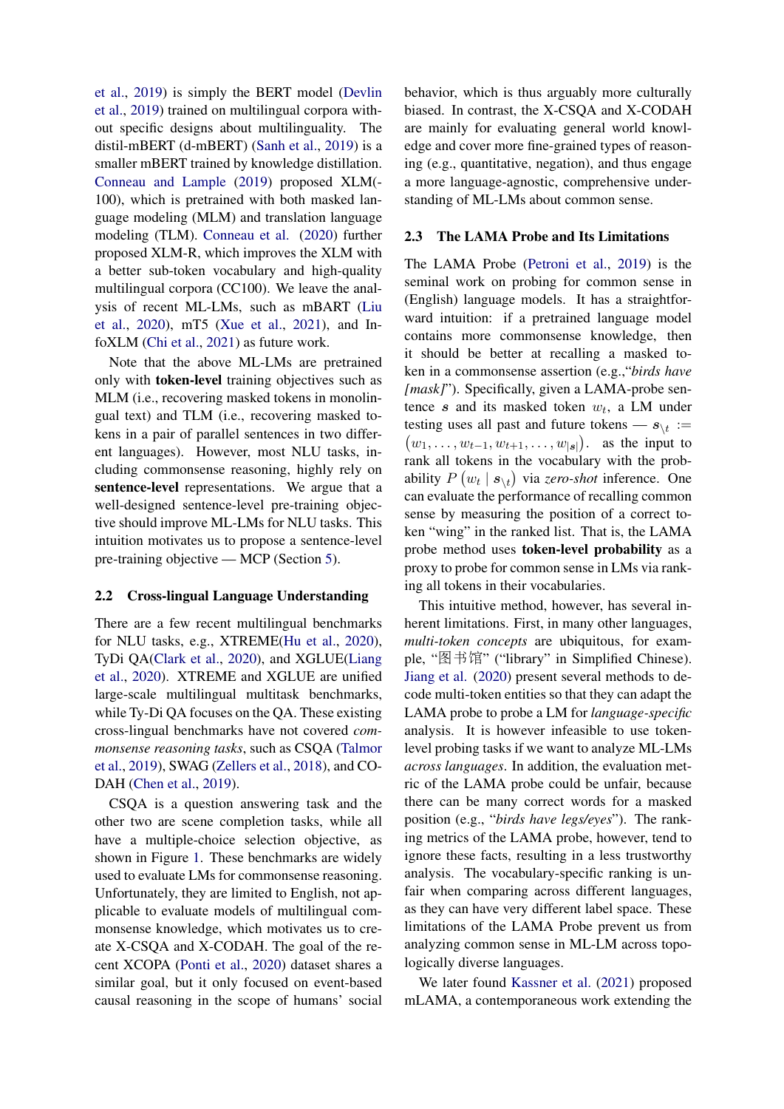[et al.,](#page-10-5) [2019\)](#page-10-5) is simply the BERT model [\(Devlin](#page-10-5) [et al.,](#page-10-5) [2019\)](#page-10-5) trained on multilingual corpora without specific designs about multilinguality. The distil-mBERT (d-mBERT) [\(Sanh et al.,](#page-11-4) [2019\)](#page-11-4) is a smaller mBERT trained by knowledge distillation. [Conneau and Lample](#page-9-3) [\(2019\)](#page-9-3) proposed XLM(- 100), which is pretrained with both masked language modeling (MLM) and translation language modeling (TLM). [Conneau et al.](#page-9-1) [\(2020\)](#page-9-1) further proposed XLM-R, which improves the XLM with a better sub-token vocabulary and high-quality multilingual corpora (CC100). We leave the analysis of recent ML-LMs, such as mBART [\(Liu](#page-10-7) [et al.,](#page-10-7) [2020\)](#page-10-7), mT5 [\(Xue et al.,](#page-11-5) [2021\)](#page-11-5), and InfoXLM [\(Chi et al.,](#page-9-4) [2021\)](#page-9-4) as future work.

Note that the above ML-LMs are pretrained only with token-level training objectives such as MLM (i.e., recovering masked tokens in monolingual text) and TLM (i.e., recovering masked tokens in a pair of parallel sentences in two different languages). However, most NLU tasks, including commonsense reasoning, highly rely on sentence-level representations. We argue that a well-designed sentence-level pre-training objective should improve ML-LMs for NLU tasks. This intuition motivates us to propose a sentence-level pre-training objective — MCP (Section [5\)](#page-6-0).

## 2.2 Cross-lingual Language Understanding

There are a few recent multilingual benchmarks for NLU tasks, e.g., XTREME[\(Hu et al.,](#page-10-6) [2020\)](#page-10-6), TyDi QA[\(Clark et al.,](#page-9-5) [2020\)](#page-9-5), and XGLUE[\(Liang](#page-10-8) [et al.,](#page-10-8) [2020\)](#page-10-8). XTREME and XGLUE are unified large-scale multilingual multitask benchmarks, while Ty-Di QA focuses on the QA. These existing cross-lingual benchmarks have not covered *commonsense reasoning tasks*, such as CSQA [\(Talmor](#page-11-0) [et al.,](#page-11-0) [2019\)](#page-11-0), SWAG [\(Zellers et al.,](#page-11-1) [2018\)](#page-11-1), and CO-DAH [\(Chen et al.,](#page-9-0) [2019\)](#page-9-0).

CSQA is a question answering task and the other two are scene completion tasks, while all have a multiple-choice selection objective, as shown in Figure [1.](#page-0-1) These benchmarks are widely used to evaluate LMs for commonsense reasoning. Unfortunately, they are limited to English, not applicable to evaluate models of multilingual commonsense knowledge, which motivates us to create X-CSQA and X-CODAH. The goal of the recent XCOPA [\(Ponti et al.,](#page-11-2) [2020\)](#page-11-2) dataset shares a similar goal, but it only focused on event-based causal reasoning in the scope of humans' social behavior, which is thus arguably more culturally biased. In contrast, the X-CSQA and X-CODAH are mainly for evaluating general world knowledge and cover more fine-grained types of reasoning (e.g., quantitative, negation), and thus engage a more language-agnostic, comprehensive understanding of ML-LMs about common sense.

#### 2.3 The LAMA Probe and Its Limitations

The LAMA Probe [\(Petroni et al.,](#page-10-1) [2019\)](#page-10-1) is the seminal work on probing for common sense in (English) language models. It has a straightforward intuition: if a pretrained language model contains more commonsense knowledge, then it should be better at recalling a masked token in a commonsense assertion (e.g.,"*birds have [mask]*"). Specifically, given a LAMA-probe sentence  $s$  and its masked token  $w_t$ , a LM under testing uses all past and future tokens —  $s_{\setminus t}$  :=  $(w_1, \ldots, w_{t-1}, w_{t+1}, \ldots, w_{|s|})$  as the input to rank all tokens in the vocabulary with the probability  $P(w_t | s_{\setminus t})$  via *zero-shot* inference. One can evaluate the performance of recalling common sense by measuring the position of a correct token "wing" in the ranked list. That is, the LAMA probe method uses token-level probability as a proxy to probe for common sense in LMs via ranking all tokens in their vocabularies.

This intuitive method, however, has several inherent limitations. First, in many other languages, *multi-token concepts* are ubiquitous, for example, "图书馆" ("library" in Simplified Chinese). [Jiang et al.](#page-10-9) [\(2020\)](#page-10-9) present several methods to decode multi-token entities so that they can adapt the LAMA probe to probe a LM for *language-specific* analysis. It is however infeasible to use tokenlevel probing tasks if we want to analyze ML-LMs *across languages*. In addition, the evaluation metric of the LAMA probe could be unfair, because there can be many correct words for a masked position (e.g., "*birds have legs/eyes*"). The ranking metrics of the LAMA probe, however, tend to ignore these facts, resulting in a less trustworthy analysis. The vocabulary-specific ranking is unfair when comparing across different languages, as they can have very different label space. These limitations of the LAMA Probe prevent us from analyzing common sense in ML-LM across topologically diverse languages.

We later found [Kassner et al.](#page-10-10) [\(2021\)](#page-10-10) proposed mLAMA, a contemporaneous work extending the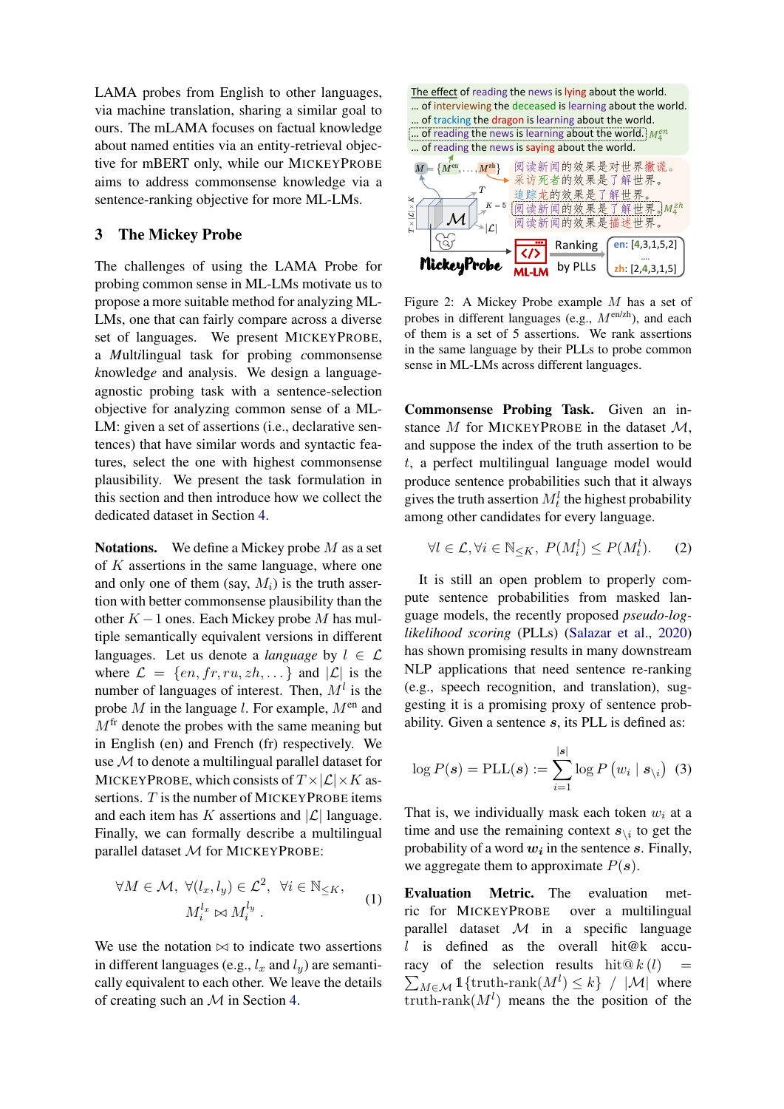LAMA probes from English to other languages, via machine translation, sharing a similar goal to ours. The mLAMA focuses on factual knowledge about named entities via an entity-retrieval objective for mBERT only, while our MICKEYPROBE aims to address commonsense knowledge via a sentence-ranking objective for more ML-LMs.

#### 3 The Mickey Probe

The challenges of using the LAMA Probe for probing common sense in ML-LMs motivate us to propose a more suitable method for analyzing ML-LMs, one that can fairly compare across a diverse set of languages. We present MICKEYPROBE, a *M*ult*i*lingual task for probing *c*ommonsense *k*nowledg*e* and anal*y*sis. We design a languageagnostic probing task with a sentence-selection objective for analyzing common sense of a ML-LM: given a set of assertions (i.e., declarative sentences) that have similar words and syntactic features, select the one with highest commonsense plausibility. We present the task formulation in this section and then introduce how we collect the dedicated dataset in Section [4.](#page-4-0)

**Notations.** We define a Mickey probe  $M$  as a set of  $K$  assertions in the same language, where one and only one of them (say,  $M_i$ ) is the truth assertion with better commonsense plausibility than the other  $K-1$  ones. Each Mickey probe M has multiple semantically equivalent versions in different languages. Let us denote a *language* by  $l \in \mathcal{L}$ where  $\mathcal{L} = \{en, fr, ru, zh, ...\}$  and  $|\mathcal{L}|$  is the number of languages of interest. Then,  $M<sup>l</sup>$  is the probe  $M$  in the language l. For example,  $M<sup>en</sup>$  and  $M<sup>fr</sup>$  denote the probes with the same meaning but in English (en) and French (fr) respectively. We use M to denote a multilingual parallel dataset for MICKEYPROBE, which consists of  $T \times |\mathcal{L}| \times K$  assertions.  $T$  is the number of MICKEYPROBE items and each item has K assertions and  $|\mathcal{L}|$  language. Finally, we can formally describe a multilingual parallel dataset M for MICKEYPROBE:

$$
\forall M \in \mathcal{M}, \ \forall (l_x, l_y) \in \mathcal{L}^2, \ \forall i \in \mathbb{N}_{\leq K},
$$

$$
M_i^{l_x} \bowtie M_i^{l_y}.
$$
 (1)

We use the notation  $\bowtie$  to indicate two assertions in different languages (e.g.,  $l_x$  and  $l_y$ ) are semantically equivalent to each other. We leave the details of creating such an  $M$  in Section [4.](#page-4-0)



Figure 2: A Mickey Probe example M has a set of probes in different languages (e.g.,  $M^{\text{en/zh}}$ ), and each of them is a set of 5 assertions. We rank assertions in the same language by their PLLs to probe common sense in ML-LMs across different languages.

Commonsense Probing Task. Given an instance  $M$  for MICKEYPROBE in the dataset  $M$ , and suppose the index of the truth assertion to be t, a perfect multilingual language model would produce sentence probabilities such that it always gives the truth assertion  $M_t^l$  the highest probability among other candidates for every language.

$$
\forall l \in \mathcal{L}, \forall i \in \mathbb{N}_{\leq K}, \ P(M_i^l) \leq P(M_t^l). \tag{2}
$$

It is still an open problem to properly compute sentence probabilities from masked language models, the recently proposed *pseudo-loglikelihood scoring* (PLLs) [\(Salazar et al.,](#page-11-3) [2020\)](#page-11-3) has shown promising results in many downstream NLP applications that need sentence re-ranking (e.g., speech recognition, and translation), suggesting it is a promising proxy of sentence probability. Given a sentence s, its PLL is defined as:

<span id="page-3-0"></span>
$$
\log P(\boldsymbol{s}) = \text{PLL}(\boldsymbol{s}) := \sum_{i=1}^{\vert \boldsymbol{s} \vert} \log P\left(w_i \mid \boldsymbol{s}_{\setminus i}\right) \tag{3}
$$

That is, we individually mask each token  $w_i$  at a time and use the remaining context  $s_{\backslash i}$  to get the probability of a word  $w_i$  in the sentence s. Finally, we aggregate them to approximate  $P(s)$ .

Evaluation Metric. The evaluation metric for MICKEYPROBE over a multilingual parallel dataset  $\mathcal M$  in a specific language l is defined as the overall hit $@k$  accuracy of the selection results  $\mathrm{hit} @ k(l) =$  $\sum_{M \in \mathcal{M}} 1$ {truth-rank $(M^l) \leq k$ } / |M| where truth-rank $(M<sup>l</sup>)$  means the the position of the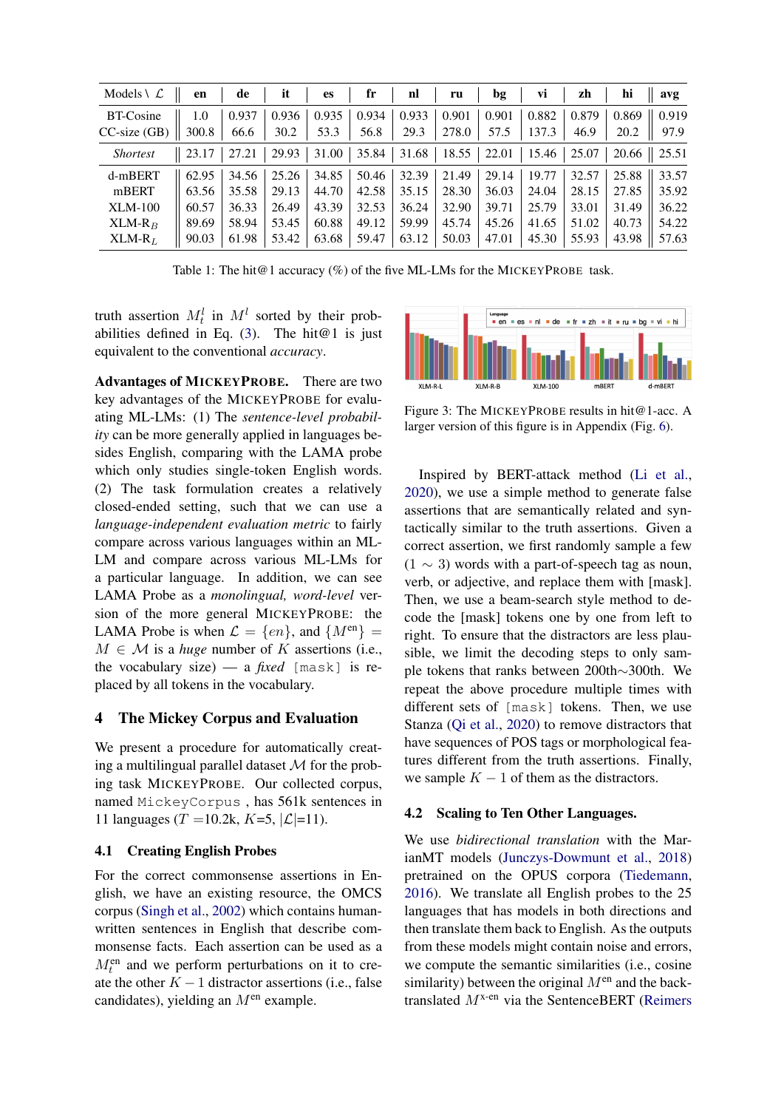<span id="page-4-2"></span>

| Models $\setminus \mathcal{L}$ | en    | de    | it    | <b>es</b> | fr    | n!    | ru    | bg    | VÌ    | zh    | hi              | avg   |
|--------------------------------|-------|-------|-------|-----------|-------|-------|-------|-------|-------|-------|-----------------|-------|
| <b>BT-Cosine</b>               | 1.0   | 0.937 | 0.936 | 0.935     | 0.934 | 0.933 | 0.901 | 0.901 | 0.882 | 0.879 | 0.869           | 0.919 |
| $CC$ -size $(GB)$              | 300.8 | 66.6  | 30.2  | 53.3      | 56.8  | 29.3  | 278.0 | 57.5  | 137.3 | 46.9  | 20.2            | 97.9  |
| <i>Shortest</i>                | 23.17 | 27.21 | 29.93 | 31.00     | 35.84 | 31.68 | 18.55 | 22.01 | 15.46 | 25.07 | $20.66$   25.51 |       |
| d-mBERT                        | 62.95 | 34.56 | 25.26 | 34.85     | 50.46 | 32.39 | 21.49 | 29.14 | 19.77 | 32.57 | 25.88           | 33.57 |
| mBERT                          | 63.56 | 35.58 | 29.13 | 44.70     | 42.58 | 35.15 | 28.30 | 36.03 | 24.04 | 28.15 | 27.85           | 35.92 |
| $XLM-100$                      | 60.57 | 36.33 | 26.49 | 43.39     | 32.53 | 36.24 | 32.90 | 39.71 | 25.79 | 33.01 | 31.49           | 36.22 |
| $XLM-R_B$                      | 89.69 | 58.94 | 53.45 | 60.88     | 49.12 | 59.99 | 45.74 | 45.26 | 41.65 | 51.02 | 40.73           | 54.22 |
| $XLM-RL$                       | 90.03 | 61.98 | 53.42 | 63.68     | 59.47 | 63.12 | 50.03 | 47.01 | 45.30 | 55.93 | 43.98           | 57.63 |

Table 1: The hit@1 accuracy (%) of the five ML-LMs for the MICKEYPROBE task.

truth assertion  $M_t^l$  in  $M_t^l$  sorted by their prob-abilities defined in Eq. [\(3\)](#page-3-0). The hit $@1$  is just equivalent to the conventional *accuracy*.

Advantages of MICKEYPROBE. There are two key advantages of the MICKEYPROBE for evaluating ML-LMs: (1) The *sentence-level probability* can be more generally applied in languages besides English, comparing with the LAMA probe which only studies single-token English words. (2) The task formulation creates a relatively closed-ended setting, such that we can use a *language-independent evaluation metric* to fairly compare across various languages within an ML-LM and compare across various ML-LMs for a particular language. In addition, we can see LAMA Probe as a *monolingual, word-level* version of the more general MICKEYPROBE: the LAMA Probe is when  $\mathcal{L} = \{en\}$ , and  $\{M^{en}\} =$  $M \in \mathcal{M}$  is a *huge* number of K assertions (i.e., the vocabulary size) — a *fixed* [mask] is replaced by all tokens in the vocabulary.

## <span id="page-4-0"></span>4 The Mickey Corpus and Evaluation

We present a procedure for automatically creating a multilingual parallel dataset  $M$  for the probing task MICKEYPROBE. Our collected corpus, named MickeyCorpus , has 561k sentences in 11 languages (T = 10.2k, K=5,  $|\mathcal{L}|$ =11).

## 4.1 Creating English Probes

For the correct commonsense assertions in English, we have an existing resource, the OMCS corpus [\(Singh et al.,](#page-11-6) [2002\)](#page-11-6) which contains humanwritten sentences in English that describe commonsense facts. Each assertion can be used as a  $M_t^{\text{en}}$  and we perform perturbations on it to create the other  $K - 1$  distractor assertions (i.e., false candidates), yielding an  $M<sup>en</sup>$  example.

<span id="page-4-1"></span>

Figure 3: The MICKEYPROBE results in hit@1-acc. A larger version of this figure is in Appendix (Fig. [6\)](#page-13-0).

Inspired by BERT-attack method [\(Li et al.,](#page-10-11) [2020\)](#page-10-11), we use a simple method to generate false assertions that are semantically related and syntactically similar to the truth assertions. Given a correct assertion, we first randomly sample a few  $(1 \sim 3)$  words with a part-of-speech tag as noun, verb, or adjective, and replace them with [mask]. Then, we use a beam-search style method to decode the [mask] tokens one by one from left to right. To ensure that the distractors are less plausible, we limit the decoding steps to only sample tokens that ranks between 200th∼300th. We repeat the above procedure multiple times with different sets of [mask] tokens. Then, we use Stanza [\(Qi et al.,](#page-11-7) [2020\)](#page-11-7) to remove distractors that have sequences of POS tags or morphological features different from the truth assertions. Finally, we sample  $K - 1$  of them as the distractors.

## 4.2 Scaling to Ten Other Languages.

We use *bidirectional translation* with the MarianMT models [\(Junczys-Dowmunt et al.,](#page-10-12) [2018\)](#page-10-12) pretrained on the OPUS corpora [\(Tiedemann,](#page-11-8) [2016\)](#page-11-8). We translate all English probes to the 25 languages that has models in both directions and then translate them back to English. As the outputs from these models might contain noise and errors, we compute the semantic similarities (i.e., cosine similarity) between the original  $M<sup>en</sup>$  and the backtranslated  $M^{x-en}$  via the SentenceBERT [\(Reimers](#page-11-9)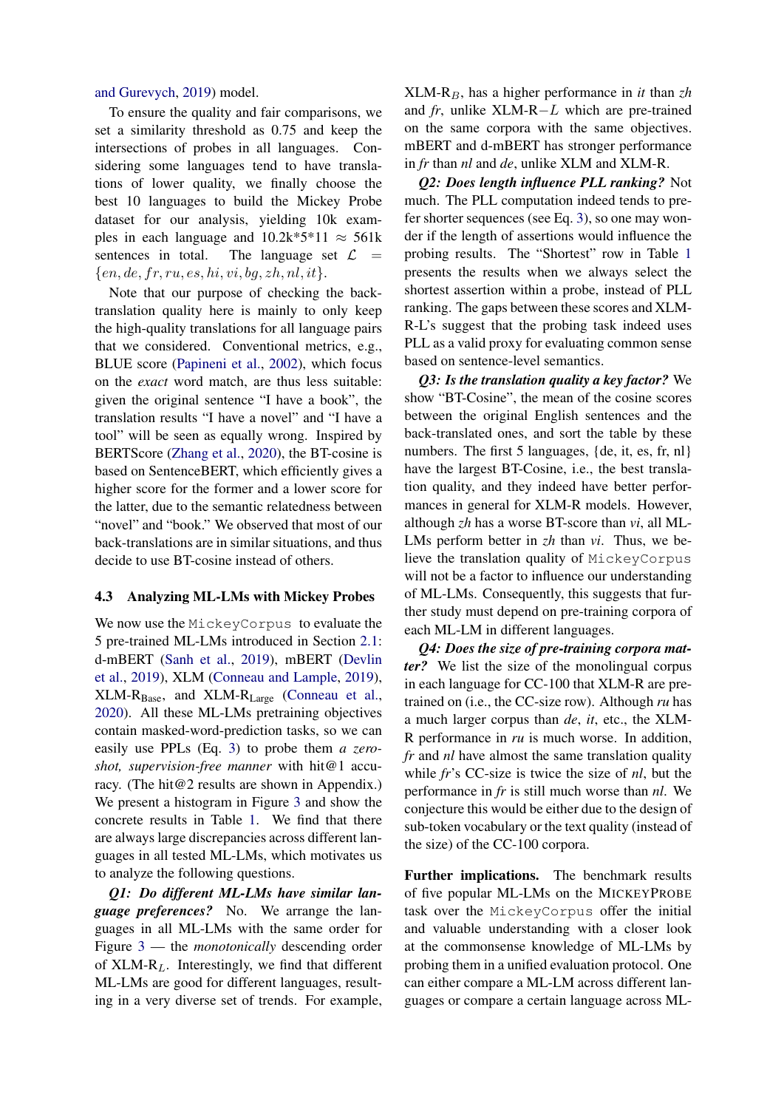[and Gurevych,](#page-11-9) [2019\)](#page-11-9) model.

To ensure the quality and fair comparisons, we set a similarity threshold as 0.75 and keep the intersections of probes in all languages. Considering some languages tend to have translations of lower quality, we finally choose the best 10 languages to build the Mickey Probe dataset for our analysis, yielding 10k examples in each language and  $10.2k*5*11 \approx 561k$ sentences in total. The language set  $\mathcal{L}$  =  $\{en, de, fr, ru, es, hi, vi, bg, zh, nl, it\}.$ 

Note that our purpose of checking the backtranslation quality here is mainly to only keep the high-quality translations for all language pairs that we considered. Conventional metrics, e.g., BLUE score [\(Papineni et al.,](#page-10-13) [2002\)](#page-10-13), which focus on the *exact* word match, are thus less suitable: given the original sentence "I have a book", the translation results "I have a novel" and "I have a tool" will be seen as equally wrong. Inspired by BERTScore [\(Zhang et al.,](#page-11-10) [2020\)](#page-11-10), the BT-cosine is based on SentenceBERT, which efficiently gives a higher score for the former and a lower score for the latter, due to the semantic relatedness between "novel" and "book." We observed that most of our back-translations are in similar situations, and thus decide to use BT-cosine instead of others.

## 4.3 Analyzing ML-LMs with Mickey Probes

We now use the MickeyCorpus to evaluate the 5 pre-trained ML-LMs introduced in Section [2.1:](#page-1-1) d-mBERT [\(Sanh et al.,](#page-11-4) [2019\)](#page-11-4), mBERT [\(Devlin](#page-10-5) [et al.,](#page-10-5) [2019\)](#page-10-5), XLM [\(Conneau and Lample,](#page-9-3) [2019\)](#page-9-3), XLM-RBase, and XLM-RLarge [\(Conneau et al.,](#page-9-1) [2020\)](#page-9-1). All these ML-LMs pretraining objectives contain masked-word-prediction tasks, so we can easily use PPLs (Eq. [3\)](#page-3-0) to probe them *a zeroshot, supervision-free manner* with hit@1 accuracy. (The hit@2 results are shown in Appendix.) We present a histogram in Figure [3](#page-4-1) and show the concrete results in Table [1.](#page-4-2) We find that there are always large discrepancies across different languages in all tested ML-LMs, which motivates us to analyze the following questions.

*Q1: Do different ML-LMs have similar language preferences?* No. We arrange the languages in all ML-LMs with the same order for Figure [3](#page-4-1) — the *monotonically* descending order of  $XLM-R<sub>L</sub>$ . Interestingly, we find that different ML-LMs are good for different languages, resulting in a very diverse set of trends. For example, XLM-RB, has a higher performance in *it* than *zh* and *fr*, unlike XLM-R−L which are pre-trained on the same corpora with the same objectives. mBERT and d-mBERT has stronger performance in *fr* than *nl* and *de*, unlike XLM and XLM-R.

*Q2: Does length influence PLL ranking?* Not much. The PLL computation indeed tends to prefer shorter sequences (see Eq. [3\)](#page-3-0), so one may wonder if the length of assertions would influence the probing results. The "Shortest" row in Table [1](#page-4-2) presents the results when we always select the shortest assertion within a probe, instead of PLL ranking. The gaps between these scores and XLM-R-L's suggest that the probing task indeed uses PLL as a valid proxy for evaluating common sense based on sentence-level semantics.

*Q3: Is the translation quality a key factor?* We show "BT-Cosine", the mean of the cosine scores between the original English sentences and the back-translated ones, and sort the table by these numbers. The first 5 languages, {de, it, es, fr, nl} have the largest BT-Cosine, i.e., the best translation quality, and they indeed have better performances in general for XLM-R models. However, although *zh* has a worse BT-score than *vi*, all ML-LMs perform better in *zh* than *vi*. Thus, we believe the translation quality of MickeyCorpus will not be a factor to influence our understanding of ML-LMs. Consequently, this suggests that further study must depend on pre-training corpora of each ML-LM in different languages.

*Q4: Does the size of pre-training corpora matter?* We list the size of the monolingual corpus in each language for CC-100 that XLM-R are pretrained on (i.e., the CC-size row). Although *ru* has a much larger corpus than *de*, *it*, etc., the XLM-R performance in *ru* is much worse. In addition, *fr* and *nl* have almost the same translation quality while *fr*'s CC-size is twice the size of *nl*, but the performance in *fr* is still much worse than *nl*. We conjecture this would be either due to the design of sub-token vocabulary or the text quality (instead of the size) of the CC-100 corpora.

Further implications. The benchmark results of five popular ML-LMs on the MICKEYPROBE task over the MickeyCorpus offer the initial and valuable understanding with a closer look at the commonsense knowledge of ML-LMs by probing them in a unified evaluation protocol. One can either compare a ML-LM across different languages or compare a certain language across ML-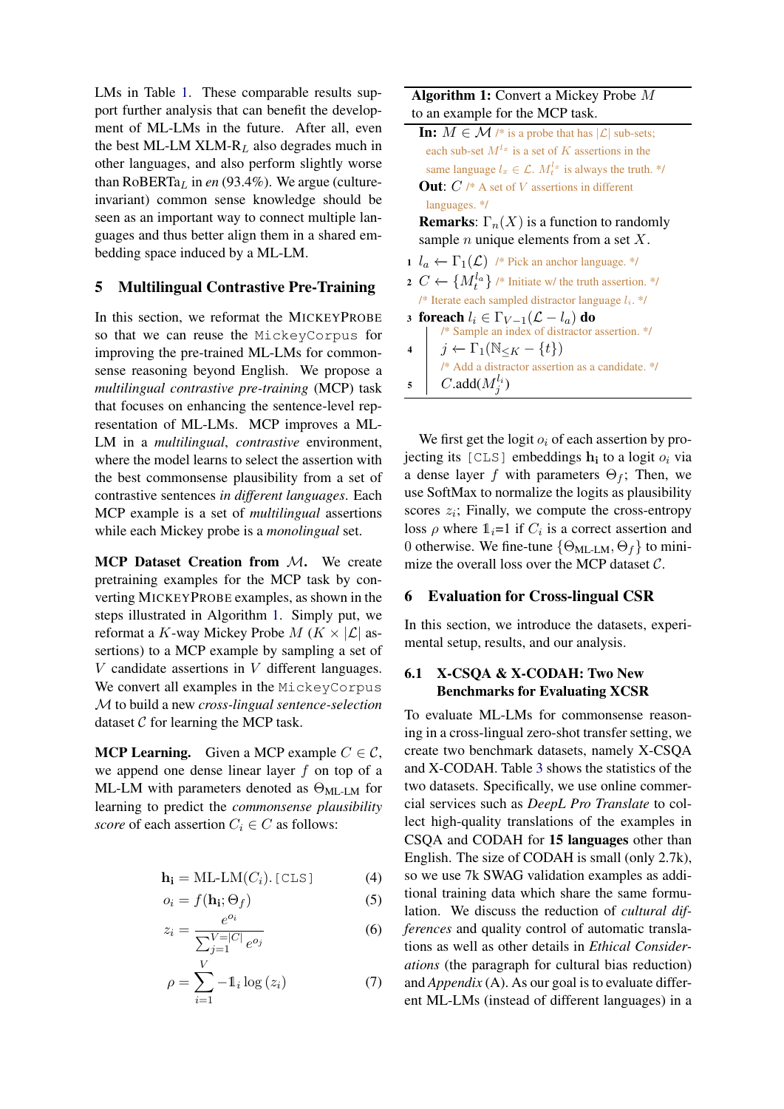LMs in Table [1.](#page-4-2) These comparable results support further analysis that can benefit the development of ML-LMs in the future. After all, even the best ML-LM XLM- $R_L$  also degrades much in other languages, and also perform slightly worse than  $RoBERTa<sub>L</sub>$  in *en* (93.4%). We argue (cultureinvariant) common sense knowledge should be seen as an important way to connect multiple languages and thus better align them in a shared embedding space induced by a ML-LM.

# <span id="page-6-0"></span>5 Multilingual Contrastive Pre-Training

In this section, we reformat the MICKEYPROBE so that we can reuse the MickeyCorpus for improving the pre-trained ML-LMs for commonsense reasoning beyond English. We propose a *multilingual contrastive pre-training* (MCP) task that focuses on enhancing the sentence-level representation of ML-LMs. MCP improves a ML-LM in a *multilingual*, *contrastive* environment, where the model learns to select the assertion with the best commonsense plausibility from a set of contrastive sentences *in different languages*. Each MCP example is a set of *multilingual* assertions while each Mickey probe is a *monolingual* set.

MCP Dataset Creation from M. We create pretraining examples for the MCP task by converting MICKEYPROBE examples, as shown in the steps illustrated in Algorithm [1.](#page-6-1) Simply put, we reformat a K-way Mickey Probe  $M$  ( $K \times |\mathcal{L}|$  assertions) to a MCP example by sampling a set of  $V$  candidate assertions in  $V$  different languages. We convert all examples in the MickeyCorpus M to build a new *cross-lingual sentence-selection* dataset  $C$  for learning the MCP task.

**MCP Learning.** Given a MCP example  $C \in \mathcal{C}$ , we append one dense linear layer  $f$  on top of a ML-LM with parameters denoted as  $\Theta_{ML-LM}$  for learning to predict the *commonsense plausibility score* of each assertion  $C_i \in C$  as follows:

$$
\mathbf{h_i} = \text{ML-LM}(C_i).[\text{CLS}] \tag{4}
$$

$$
o_i = f(\mathbf{h_i}; \Theta_f) \tag{5}
$$

$$
z_i = \frac{e^{o_i}}{\sum_{j=1}^{V=|C|} e^{o_j}}
$$
(6)

$$
\rho = \sum_{i=1}^{V} -\mathbb{1}_i \log \left(z_i\right) \tag{7}
$$

## Algorithm 1: Convert a Mickey Probe M to an example for the MCP task.

**In:**  $M \in \mathcal{M}$  /\* is a probe that has  $|\mathcal{L}|$  sub-sets; each sub-set  $M^{l_x}$  is a set of K assertions in the same language  $l_x \in \mathcal{L}$ .  $M_t^{l_x}$  is always the truth. \*/ **Out:**  $C \nmid^* A$  set of V assertions in different languages. \*/

**Remarks:**  $\Gamma_n(X)$  is a function to randomly sample  $n$  unique elements from a set  $X$ .

- 1  $l_a$  ←  $\Gamma_1(\mathcal{L})$  /\* Pick an anchor language. \*/
- 2  $C ← \{M_t^{l_a}\}$  /\* Initiate w/ the truth assertion. \*/ /\* Iterate each sampled distractor language  $l_i$ . \*/
- 3 foreach  $l_i \in \Gamma_{V-1}(\mathcal{L} l_a)$  do /\* Sample an index of distractor assertion. \*/
- $\begin{bmatrix} 4 & j \leftarrow \Gamma_1(\mathbb{N}_{\leq K} \{t\}) \end{bmatrix}$ /\* Add a distractor assertion as a candidate. \*/  $\mathsf{s} \quad \begin{array}{|c} \hline \end{array} C.\mathtt{add}(M^{l_i}_j)$

<span id="page-6-1"></span>We first get the logit  $o_i$  of each assertion by projecting its [CLS] embeddings  $h_i$  to a logit  $o_i$  via a dense layer f with parameters  $\Theta_f$ ; Then, we use SoftMax to normalize the logits as plausibility scores  $z_i$ ; Finally, we compute the cross-entropy loss  $\rho$  where  $1_i=1$  if  $C_i$  is a correct assertion and 0 otherwise. We fine-tune  $\{\Theta_{ML-LM}, \Theta_f\}$  to minimize the overall loss over the MCP dataset  $C$ .

## 6 Evaluation for Cross-lingual CSR

In this section, we introduce the datasets, experimental setup, results, and our analysis.

# 6.1 X-CSQA & X-CODAH: Two New Benchmarks for Evaluating XCSR

To evaluate ML-LMs for commonsense reasoning in a cross-lingual zero-shot transfer setting, we create two benchmark datasets, namely X-CSQA and X-CODAH. Table [3](#page-7-0) shows the statistics of the two datasets. Specifically, we use online commercial services such as *DeepL Pro Translate* to collect high-quality translations of the examples in CSQA and CODAH for 15 languages other than English. The size of CODAH is small (only 2.7k), so we use 7k SWAG validation examples as additional training data which share the same formulation. We discuss the reduction of *cultural differences* and quality control of automatic translations as well as other details in *Ethical Considerations* (the paragraph for cultural bias reduction) and *Appendix* (A). As our goal is to evaluate different ML-LMs (instead of different languages) in a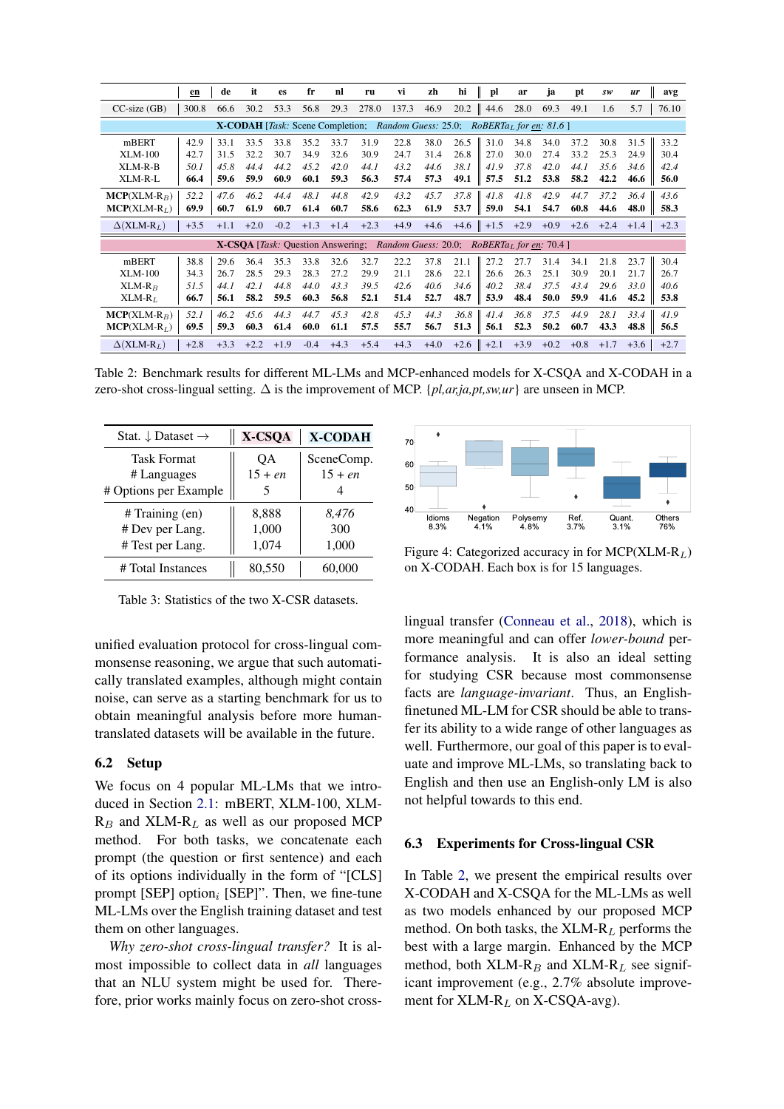<span id="page-7-1"></span>

|                   | en                                                                                                  | de     | it     | es     | fr     | nl     | ru                                                    | vi     | zh     | hi     | pl                        | ar     | ja     | pt     | SW     | ur     | avg    |
|-------------------|-----------------------------------------------------------------------------------------------------|--------|--------|--------|--------|--------|-------------------------------------------------------|--------|--------|--------|---------------------------|--------|--------|--------|--------|--------|--------|
| $CC$ -size $(GB)$ | 300.8                                                                                               | 66.6   | 30.2   | 53.3   | 56.8   | 29.3   | 278.0                                                 | 137.3  | 46.9   | 20.2   | 44.6                      | 28.0   | 69.3   | 49.1   | 1.6    | 5.7    | 76.10  |
|                   | Random Guess: 25.0;<br><b>X-CODAH</b> [ <i>Task:</i> Scene Completion;<br>$RoBERTaL$ for en: 81.6 ] |        |        |        |        |        |                                                       |        |        |        |                           |        |        |        |        |        |        |
| mBERT             | 42.9                                                                                                | 33.1   | 33.5   | 33.8   | 35.2   | 33.7   | 31.9                                                  | 22.8   | 38.0   | 26.5   | 31.0                      | 34.8   | 34.0   | 37.2   | 30.8   | 31.5   | 33.2   |
| <b>XLM-100</b>    | 42.7                                                                                                | 31.5   | 32.2   | 30.7   | 34.9   | 32.6   | 30.9                                                  | 24.7   | 31.4   | 26.8   | 27.0                      | 30.0   | 27.4   | 33.2   | 25.3   | 24.9   | 30.4   |
| XLM-R-B           | 50.1                                                                                                | 45.8   | 44.4   | 44.2   | 45.2   | 42.0   | 44.1                                                  | 43.2   | 44.6   | 38.1   | 41.9                      | 37.8   | 42.0   | 44.1   | 35.6   | 34.6   | 42.4   |
| XLM-R-L           | 66.4                                                                                                | 59.6   | 59.9   | 60.9   | 60.1   | 59.3   | 56.3                                                  | 57.4   | 57.3   | 49.1   | 57.5                      | 51.2   | 53.8   | 58.2   | 42.2   | 46.6   | 56.0   |
| $MCP(XLM-R_B)$    | 52.2                                                                                                | 47.6   | 46.2   | 44.4   | 48.1   | 44.8   | 42.9                                                  | 43.2   | 45.7   | 37.8   | 41.8                      | 41.8   | 42.9   | 44.7   | 37.2   | 36.4   | 43.6   |
| $MCP(XLM-RL)$     | 69.9                                                                                                | 60.7   | 61.9   | 60.7   | 61.4   | 60.7   | 58.6                                                  | 62.3   | 61.9   | 53.7   | 59.0                      | 54.1   | 54.7   | 60.8   | 44.6   | 48.0   | 58.3   |
| $\Delta(XLM-R_L)$ | $+3.5$                                                                                              | $+1.1$ | $+2.0$ | $-0.2$ | $+1.3$ | $+1.4$ | $+2.3$                                                | $+4.9$ | $+4.6$ | $+4.6$ | $+1.5$                    | $+2.9$ | $+0.9$ | $+2.6$ | $+2.4$ | $+1.4$ | $+2.3$ |
|                   |                                                                                                     |        |        |        |        |        | X-CSOA [Task: Question Answering; Random Guess: 20.0; |        |        |        | $RoBERTaL$ for en: 70.4 ] |        |        |        |        |        |        |
| mBERT             | 38.8                                                                                                | 29.6   | 36.4   | 35.3   | 33.8   | 32.6   | 32.7                                                  | 22.2   | 37.8   | 21.1   | 27.2                      | 27.7   | 31.4   | 34.1   | 21.8   | 23.7   | 30.4   |
| XLM-100           | 34.3                                                                                                | 26.7   | 28.5   | 29.3   | 28.3   | 27.2   | 29.9                                                  | 21.1   | 28.6   | 22.1   | 26.6                      | 26.3   | 25.1   | 30.9   | 20.1   | 21.7   | 26.7   |
| $XLM-RB$          | 51.5                                                                                                | 44.1   | 42.1   | 44.8   | 44.0   | 43.3   | 39.5                                                  | 42.6   | 40.6   | 34.6   | 40.2                      | 38.4   | 37.5   | 43.4   | 29.6   | 33.0   | 40.6   |
| $XLM-RL$          | 66.7                                                                                                | 56.1   | 58.2   | 59.5   | 60.3   | 56.8   | 52.1                                                  | 51.4   | 52.7   | 48.7   | 53.9                      | 48.4   | 50.0   | 59.9   | 41.6   | 45.2   | 53.8   |
| $MCP(XLM-R_B)$    | 52.1                                                                                                | 46.2   | 45.6   | 44.3   | 44.7   | 45.3   | 42.8                                                  | 45.3   | 44.3   | 36.8   | 41.4                      | 36.8   | 37.5   | 44.9   | 28.1   | 33.4   | 41.9   |
| $MCP(XLM-RL)$     | 69.5                                                                                                | 59.3   | 60.3   | 61.4   | 60.0   | 61.1   | 57.5                                                  | 55.7   | 56.7   | 51.3   | 56.1                      | 52.3   | 50.2   | 60.7   | 43.3   | 48.8   | 56.5   |
| $\Delta(XLM-R_L)$ | $+2.8$                                                                                              | $+3.3$ | $+2.2$ | $+1.9$ | $-0.4$ | $+4.3$ | $+5.4$                                                | $+4.3$ | $+4.0$ | $+2.6$ | $+2.1$                    | $+3.9$ | $+0.2$ | $+0.8$ | $+1.7$ | $+3.6$ | $+2.7$ |

Table 2: Benchmark results for different ML-LMs and MCP-enhanced models for X-CSQA and X-CODAH in a zero-shot cross-lingual setting. ∆ is the improvement of MCP. {*pl,ar,ja,pt,sw,ur*} are unseen in MCP.

<span id="page-7-0"></span>

| Stat. $\downarrow$ Dataset $\rightarrow$ | X-CSQA          | <b>X-CODAH</b>          |
|------------------------------------------|-----------------|-------------------------|
| <b>Task Format</b>                       | ОA<br>$15 + en$ | SceneComp.<br>$15 + en$ |
| # Languages<br># Options per Example     | 5               | 4                       |
| # Training (en)                          | 8,888           | 8,476                   |
| # Dev per Lang.                          | 1,000           | 300                     |
| # Test per Lang.                         | 1,074           | 1,000                   |
| # Total Instances                        | 80,550          | 60,000                  |

Table 3: Statistics of the two X-CSR datasets.

unified evaluation protocol for cross-lingual commonsense reasoning, we argue that such automatically translated examples, although might contain noise, can serve as a starting benchmark for us to obtain meaningful analysis before more humantranslated datasets will be available in the future.

## 6.2 Setup

We focus on 4 popular ML-LMs that we introduced in Section [2.1:](#page-1-1) mBERT, XLM-100, XLM- $R_B$  and XLM- $R_L$  as well as our proposed MCP method. For both tasks, we concatenate each prompt (the question or first sentence) and each of its options individually in the form of "[CLS] prompt [SEP] option<sub>i</sub> [SEP]". Then, we fine-tune ML-LMs over the English training dataset and test them on other languages.

*Why zero-shot cross-lingual transfer?* It is almost impossible to collect data in *all* languages that an NLU system might be used for. Therefore, prior works mainly focus on zero-shot cross-

<span id="page-7-2"></span>

Figure 4: Categorized accuracy in for  $MCP(XLM-R_L)$ on X-CODAH. Each box is for 15 languages.

lingual transfer [\(Conneau et al.,](#page-9-2) [2018\)](#page-9-2), which is more meaningful and can offer *lower-bound* performance analysis. It is also an ideal setting for studying CSR because most commonsense facts are *language-invariant*. Thus, an Englishfinetuned ML-LM for CSR should be able to transfer its ability to a wide range of other languages as well. Furthermore, our goal of this paper is to evaluate and improve ML-LMs, so translating back to English and then use an English-only LM is also not helpful towards to this end.

## 6.3 Experiments for Cross-lingual CSR

In Table [2,](#page-7-1) we present the empirical results over X-CODAH and X-CSQA for the ML-LMs as well as two models enhanced by our proposed MCP method. On both tasks, the  $XLM-R_L$  performs the best with a large margin. Enhanced by the MCP method, both XLM- $R_B$  and XLM- $R_L$  see significant improvement (e.g., 2.7% absolute improvement for  $XLM-R_L$  on  $X-CSQA$ -avg).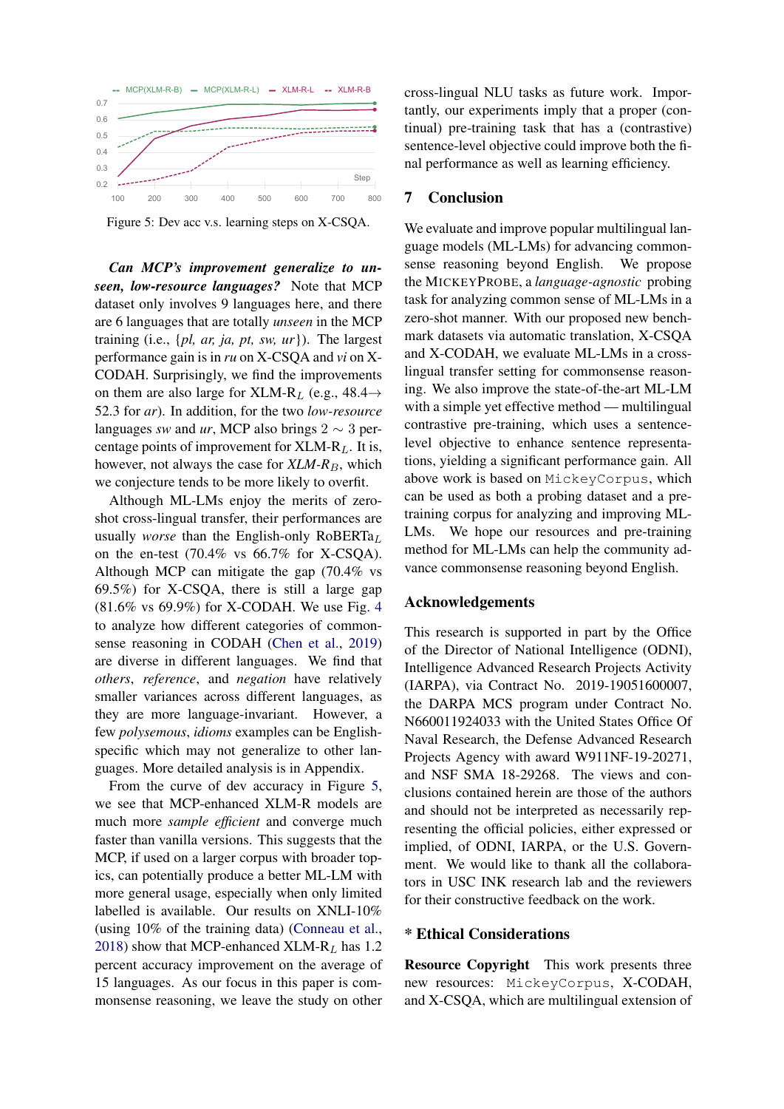<span id="page-8-0"></span>

Figure 5: Dev acc v.s. learning steps on X-CSQA.

*Can MCP's improvement generalize to unseen, low-resource languages?* Note that MCP dataset only involves 9 languages here, and there are 6 languages that are totally *unseen* in the MCP training (i.e., {*pl, ar, ja, pt, sw, ur*}). The largest performance gain is in *ru* on X-CSQA and *vi* on X-CODAH. Surprisingly, we find the improvements on them are also large for XLM-R<sub>L</sub> (e.g., 48.4 $\rightarrow$ 52.3 for *ar*). In addition, for the two *low-resource* languages *sw* and *ur*, MCP also brings 2  $\sim$  3 percentage points of improvement for  $XLM-R<sub>L</sub>$ . It is, however, not always the case for  $XLM-R_B$ , which we conjecture tends to be more likely to overfit.

Although ML-LMs enjoy the merits of zeroshot cross-lingual transfer, their performances are usually *worse* than the English-only RoBERTa<sub>L</sub> on the en-test  $(70.4\%$  vs  $66.7\%$  for X-CSQA). Although MCP can mitigate the gap (70.4% vs 69.5%) for X-CSQA, there is still a large gap (81.6% vs 69.9%) for X-CODAH. We use Fig. [4](#page-7-2) to analyze how different categories of commonsense reasoning in CODAH [\(Chen et al.,](#page-9-0) [2019\)](#page-9-0) are diverse in different languages. We find that *others*, *reference*, and *negation* have relatively smaller variances across different languages, as they are more language-invariant. However, a few *polysemous*, *idioms* examples can be Englishspecific which may not generalize to other languages. More detailed analysis is in Appendix.

From the curve of dev accuracy in Figure [5,](#page-8-0) we see that MCP-enhanced XLM-R models are much more *sample efficient* and converge much faster than vanilla versions. This suggests that the MCP, if used on a larger corpus with broader topics, can potentially produce a better ML-LM with more general usage, especially when only limited labelled is available. Our results on XNLI-10% (using 10% of the training data) [\(Conneau et al.,](#page-9-2) [2018\)](#page-9-2) show that MCP-enhanced XLM-R<sub>L</sub> has 1.2 percent accuracy improvement on the average of 15 languages. As our focus in this paper is commonsense reasoning, we leave the study on other

cross-lingual NLU tasks as future work. Importantly, our experiments imply that a proper (continual) pre-training task that has a (contrastive) sentence-level objective could improve both the final performance as well as learning efficiency.

## 7 Conclusion

We evaluate and improve popular multilingual language models (ML-LMs) for advancing commonsense reasoning beyond English. We propose the MICKEYPROBE, a *language-agnostic* probing task for analyzing common sense of ML-LMs in a zero-shot manner. With our proposed new benchmark datasets via automatic translation, X-CSQA and X-CODAH, we evaluate ML-LMs in a crosslingual transfer setting for commonsense reasoning. We also improve the state-of-the-art ML-LM with a simple yet effective method — multilingual contrastive pre-training, which uses a sentencelevel objective to enhance sentence representations, yielding a significant performance gain. All above work is based on MickeyCorpus, which can be used as both a probing dataset and a pretraining corpus for analyzing and improving ML-LMs. We hope our resources and pre-training method for ML-LMs can help the community advance commonsense reasoning beyond English.

#### Acknowledgements

This research is supported in part by the Office of the Director of National Intelligence (ODNI), Intelligence Advanced Research Projects Activity (IARPA), via Contract No. 2019-19051600007, the DARPA MCS program under Contract No. N660011924033 with the United States Office Of Naval Research, the Defense Advanced Research Projects Agency with award W911NF-19-20271, and NSF SMA 18-29268. The views and conclusions contained herein are those of the authors and should not be interpreted as necessarily representing the official policies, either expressed or implied, of ODNI, IARPA, or the U.S. Government. We would like to thank all the collaborators in USC INK research lab and the reviewers for their constructive feedback on the work.

## \* Ethical Considerations

Resource Copyright This work presents three new resources: MickeyCorpus, X-CODAH, and X-CSQA, which are multilingual extension of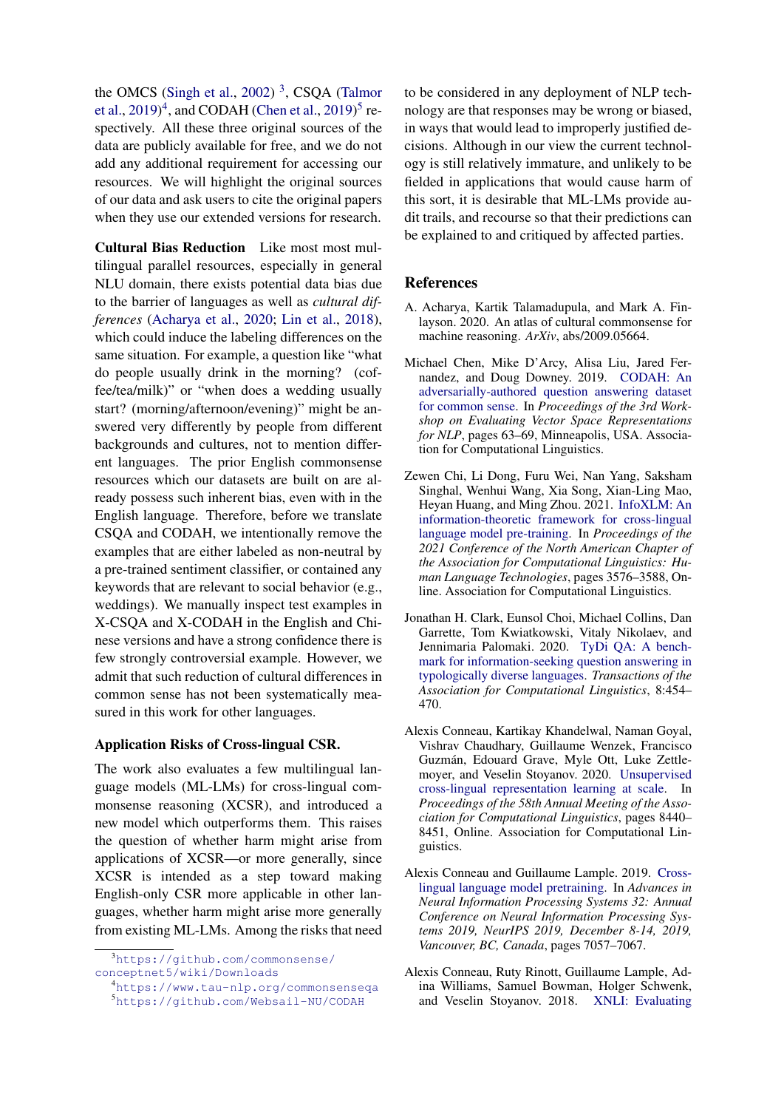the OMCS [\(Singh et al.,](#page-11-6) [2002\)](#page-11-6)<sup>[3](#page-9-6)</sup>, CSQA [\(Talmor](#page-11-0) [et al.,](#page-11-0)  $2019)^4$  $2019)^4$  $2019)^4$ , and CODAH [\(Chen et al.,](#page-9-0)  $2019)^5$  $2019)^5$  respectively. All these three original sources of the data are publicly available for free, and we do not add any additional requirement for accessing our resources. We will highlight the original sources of our data and ask users to cite the original papers when they use our extended versions for research.

Cultural Bias Reduction Like most most multilingual parallel resources, especially in general NLU domain, there exists potential data bias due to the barrier of languages as well as *cultural differences* [\(Acharya et al.,](#page-9-9) [2020;](#page-9-9) [Lin et al.,](#page-10-14) [2018\)](#page-10-14), which could induce the labeling differences on the same situation. For example, a question like "what do people usually drink in the morning? (coffee/tea/milk)" or "when does a wedding usually start? (morning/afternoon/evening)" might be answered very differently by people from different backgrounds and cultures, not to mention different languages. The prior English commonsense resources which our datasets are built on are already possess such inherent bias, even with in the English language. Therefore, before we translate CSQA and CODAH, we intentionally remove the examples that are either labeled as non-neutral by a pre-trained sentiment classifier, or contained any keywords that are relevant to social behavior (e.g., weddings). We manually inspect test examples in X-CSQA and X-CODAH in the English and Chinese versions and have a strong confidence there is few strongly controversial example. However, we admit that such reduction of cultural differences in common sense has not been systematically measured in this work for other languages.

## Application Risks of Cross-lingual CSR.

The work also evaluates a few multilingual language models (ML-LMs) for cross-lingual commonsense reasoning (XCSR), and introduced a new model which outperforms them. This raises the question of whether harm might arise from applications of XCSR—or more generally, since XCSR is intended as a step toward making English-only CSR more applicable in other languages, whether harm might arise more generally from existing ML-LMs. Among the risks that need

to be considered in any deployment of NLP technology are that responses may be wrong or biased, in ways that would lead to improperly justified decisions. Although in our view the current technology is still relatively immature, and unlikely to be fielded in applications that would cause harm of this sort, it is desirable that ML-LMs provide audit trails, and recourse so that their predictions can be explained to and critiqued by affected parties.

#### References

- <span id="page-9-9"></span>A. Acharya, Kartik Talamadupula, and Mark A. Finlayson. 2020. An atlas of cultural commonsense for machine reasoning. *ArXiv*, abs/2009.05664.
- <span id="page-9-0"></span>Michael Chen, Mike D'Arcy, Alisa Liu, Jared Fernandez, and Doug Downey. 2019. [CODAH: An](https://doi.org/10.18653/v1/W19-2008) [adversarially-authored question answering dataset](https://doi.org/10.18653/v1/W19-2008) [for common sense.](https://doi.org/10.18653/v1/W19-2008) In *Proceedings of the 3rd Workshop on Evaluating Vector Space Representations for NLP*, pages 63–69, Minneapolis, USA. Association for Computational Linguistics.
- <span id="page-9-4"></span>Zewen Chi, Li Dong, Furu Wei, Nan Yang, Saksham Singhal, Wenhui Wang, Xia Song, Xian-Ling Mao, Heyan Huang, and Ming Zhou. 2021. [InfoXLM: An](https://www.aclweb.org/anthology/2021.naacl-main.280) [information-theoretic framework for cross-lingual](https://www.aclweb.org/anthology/2021.naacl-main.280) [language model pre-training.](https://www.aclweb.org/anthology/2021.naacl-main.280) In *Proceedings of the 2021 Conference of the North American Chapter of the Association for Computational Linguistics: Human Language Technologies*, pages 3576–3588, Online. Association for Computational Linguistics.
- <span id="page-9-5"></span>Jonathan H. Clark, Eunsol Choi, Michael Collins, Dan Garrette, Tom Kwiatkowski, Vitaly Nikolaev, and Jennimaria Palomaki. 2020. [TyDi QA: A bench](https://doi.org/10.1162/tacl_a_00317)[mark for information-seeking question answering in](https://doi.org/10.1162/tacl_a_00317) [typologically diverse languages.](https://doi.org/10.1162/tacl_a_00317) *Transactions of the Association for Computational Linguistics*, 8:454– 470.
- <span id="page-9-1"></span>Alexis Conneau, Kartikay Khandelwal, Naman Goyal, Vishrav Chaudhary, Guillaume Wenzek, Francisco Guzmán, Edouard Grave, Myle Ott, Luke Zettlemoyer, and Veselin Stoyanov. 2020. [Unsupervised](https://doi.org/10.18653/v1/2020.acl-main.747) [cross-lingual representation learning at scale.](https://doi.org/10.18653/v1/2020.acl-main.747) In *Proceedings of the 58th Annual Meeting of the Association for Computational Linguistics*, pages 8440– 8451, Online. Association for Computational Linguistics.
- <span id="page-9-3"></span>Alexis Conneau and Guillaume Lample. 2019. [Cross](https://proceedings.neurips.cc/paper/2019/hash/c04c19c2c2474dbf5f7ac4372c5b9af1-Abstract.html)[lingual language model pretraining.](https://proceedings.neurips.cc/paper/2019/hash/c04c19c2c2474dbf5f7ac4372c5b9af1-Abstract.html) In *Advances in Neural Information Processing Systems 32: Annual Conference on Neural Information Processing Systems 2019, NeurIPS 2019, December 8-14, 2019, Vancouver, BC, Canada*, pages 7057–7067.
- <span id="page-9-2"></span>Alexis Conneau, Ruty Rinott, Guillaume Lample, Adina Williams, Samuel Bowman, Holger Schwenk, and Veselin Stoyanov. 2018. [XNLI: Evaluating](https://doi.org/10.18653/v1/D18-1269)

<span id="page-9-6"></span><sup>3</sup>[https://github.com/commonsense/](https://github.com/commonsense/conceptnet5/wiki/Downloads) [conceptnet5/wiki/Downloads](https://github.com/commonsense/conceptnet5/wiki/Downloads)

<span id="page-9-8"></span><span id="page-9-7"></span><sup>4</sup><https://www.tau-nlp.org/commonsenseqa> <sup>5</sup><https://github.com/Websail-NU/CODAH>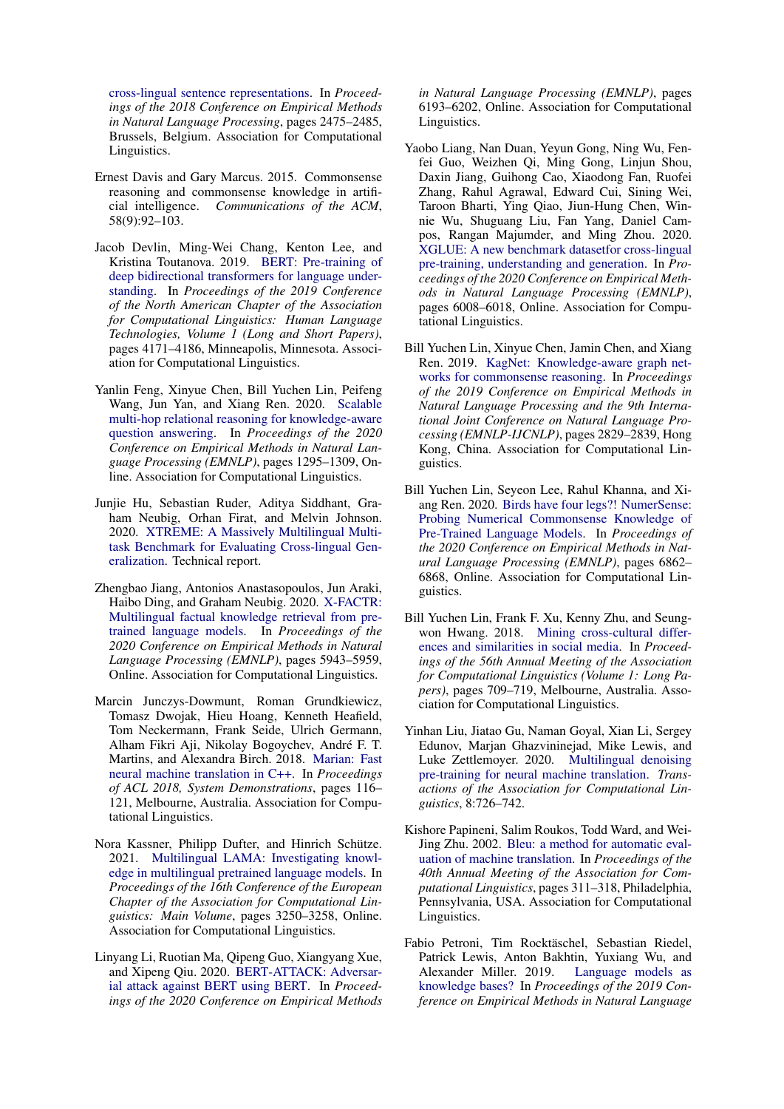[cross-lingual sentence representations.](https://doi.org/10.18653/v1/D18-1269) In *Proceedings of the 2018 Conference on Empirical Methods in Natural Language Processing*, pages 2475–2485, Brussels, Belgium. Association for Computational Linguistics.

- <span id="page-10-0"></span>Ernest Davis and Gary Marcus. 2015. Commonsense reasoning and commonsense knowledge in artificial intelligence. *Communications of the ACM*, 58(9):92–103.
- <span id="page-10-5"></span>Jacob Devlin, Ming-Wei Chang, Kenton Lee, and Kristina Toutanova. 2019. [BERT: Pre-training of](https://doi.org/10.18653/v1/N19-1423) [deep bidirectional transformers for language under](https://doi.org/10.18653/v1/N19-1423)[standing.](https://doi.org/10.18653/v1/N19-1423) In *Proceedings of the 2019 Conference of the North American Chapter of the Association for Computational Linguistics: Human Language Technologies, Volume 1 (Long and Short Papers)*, pages 4171–4186, Minneapolis, Minnesota. Association for Computational Linguistics.
- <span id="page-10-3"></span>Yanlin Feng, Xinyue Chen, Bill Yuchen Lin, Peifeng Wang, Jun Yan, and Xiang Ren. 2020. [Scalable](https://doi.org/10.18653/v1/2020.emnlp-main.99) [multi-hop relational reasoning for knowledge-aware](https://doi.org/10.18653/v1/2020.emnlp-main.99) [question answering.](https://doi.org/10.18653/v1/2020.emnlp-main.99) In *Proceedings of the 2020 Conference on Empirical Methods in Natural Language Processing (EMNLP)*, pages 1295–1309, Online. Association for Computational Linguistics.
- <span id="page-10-6"></span>Junjie Hu, Sebastian Ruder, Aditya Siddhant, Graham Neubig, Orhan Firat, and Melvin Johnson. 2020. [XTREME: A Massively Multilingual Multi](https://sites.)[task Benchmark for Evaluating Cross-lingual Gen](https://sites.)[eralization.](https://sites.) Technical report.
- <span id="page-10-9"></span>Zhengbao Jiang, Antonios Anastasopoulos, Jun Araki, Haibo Ding, and Graham Neubig. 2020. [X-FACTR:](https://doi.org/10.18653/v1/2020.emnlp-main.479) [Multilingual factual knowledge retrieval from pre](https://doi.org/10.18653/v1/2020.emnlp-main.479)[trained language models.](https://doi.org/10.18653/v1/2020.emnlp-main.479) In *Proceedings of the 2020 Conference on Empirical Methods in Natural Language Processing (EMNLP)*, pages 5943–5959, Online. Association for Computational Linguistics.
- <span id="page-10-12"></span>Marcin Junczys-Dowmunt, Roman Grundkiewicz, Tomasz Dwojak, Hieu Hoang, Kenneth Heafield, Tom Neckermann, Frank Seide, Ulrich Germann, Alham Fikri Aji, Nikolay Bogoychev, André F. T. Martins, and Alexandra Birch. 2018. [Marian: Fast](https://doi.org/10.18653/v1/P18-4020) [neural machine translation in C++.](https://doi.org/10.18653/v1/P18-4020) In *Proceedings of ACL 2018, System Demonstrations*, pages 116– 121, Melbourne, Australia. Association for Computational Linguistics.
- <span id="page-10-10"></span>Nora Kassner, Philipp Dufter, and Hinrich Schütze. 2021. [Multilingual LAMA: Investigating knowl](https://www.aclweb.org/anthology/2021.eacl-main.284)[edge in multilingual pretrained language models.](https://www.aclweb.org/anthology/2021.eacl-main.284) In *Proceedings of the 16th Conference of the European Chapter of the Association for Computational Linguistics: Main Volume*, pages 3250–3258, Online. Association for Computational Linguistics.
- <span id="page-10-11"></span>Linyang Li, Ruotian Ma, Qipeng Guo, Xiangyang Xue, and Xipeng Qiu. 2020. [BERT-ATTACK: Adversar](https://doi.org/10.18653/v1/2020.emnlp-main.500)[ial attack against BERT using BERT.](https://doi.org/10.18653/v1/2020.emnlp-main.500) In *Proceedings of the 2020 Conference on Empirical Methods*

*in Natural Language Processing (EMNLP)*, pages 6193–6202, Online. Association for Computational Linguistics.

- <span id="page-10-8"></span>Yaobo Liang, Nan Duan, Yeyun Gong, Ning Wu, Fenfei Guo, Weizhen Qi, Ming Gong, Linjun Shou, Daxin Jiang, Guihong Cao, Xiaodong Fan, Ruofei Zhang, Rahul Agrawal, Edward Cui, Sining Wei, Taroon Bharti, Ying Qiao, Jiun-Hung Chen, Winnie Wu, Shuguang Liu, Fan Yang, Daniel Campos, Rangan Majumder, and Ming Zhou. 2020. [XGLUE: A new benchmark datasetfor cross-lingual](https://doi.org/10.18653/v1/2020.emnlp-main.484) [pre-training, understanding and generation.](https://doi.org/10.18653/v1/2020.emnlp-main.484) In *Proceedings of the 2020 Conference on Empirical Methods in Natural Language Processing (EMNLP)*, pages 6008–6018, Online. Association for Computational Linguistics.
- <span id="page-10-2"></span>Bill Yuchen Lin, Xinyue Chen, Jamin Chen, and Xiang Ren. 2019. [KagNet: Knowledge-aware graph net](https://doi.org/10.18653/v1/D19-1282)[works for commonsense reasoning.](https://doi.org/10.18653/v1/D19-1282) In *Proceedings of the 2019 Conference on Empirical Methods in Natural Language Processing and the 9th International Joint Conference on Natural Language Processing (EMNLP-IJCNLP)*, pages 2829–2839, Hong Kong, China. Association for Computational Linguistics.
- <span id="page-10-4"></span>Bill Yuchen Lin, Seyeon Lee, Rahul Khanna, and Xiang Ren. 2020. [Birds have four legs?! NumerSense:](https://doi.org/10.18653/v1/2020.emnlp-main.557) [Probing Numerical Commonsense Knowledge of](https://doi.org/10.18653/v1/2020.emnlp-main.557) [Pre-Trained Language Models.](https://doi.org/10.18653/v1/2020.emnlp-main.557) In *Proceedings of the 2020 Conference on Empirical Methods in Natural Language Processing (EMNLP)*, pages 6862– 6868, Online. Association for Computational Linguistics.
- <span id="page-10-14"></span>Bill Yuchen Lin, Frank F. Xu, Kenny Zhu, and Seungwon Hwang. 2018. [Mining cross-cultural differ](https://doi.org/10.18653/v1/P18-1066)[ences and similarities in social media.](https://doi.org/10.18653/v1/P18-1066) In *Proceedings of the 56th Annual Meeting of the Association for Computational Linguistics (Volume 1: Long Papers)*, pages 709–719, Melbourne, Australia. Association for Computational Linguistics.
- <span id="page-10-7"></span>Yinhan Liu, Jiatao Gu, Naman Goyal, Xian Li, Sergey Edunov, Marjan Ghazvininejad, Mike Lewis, and Luke Zettlemoyer. 2020. [Multilingual denoising](https://doi.org/10.1162/tacl_a_00343) [pre-training for neural machine translation.](https://doi.org/10.1162/tacl_a_00343) *Transactions of the Association for Computational Linguistics*, 8:726–742.
- <span id="page-10-13"></span>Kishore Papineni, Salim Roukos, Todd Ward, and Wei-Jing Zhu. 2002. [Bleu: a method for automatic eval](https://doi.org/10.3115/1073083.1073135)[uation of machine translation.](https://doi.org/10.3115/1073083.1073135) In *Proceedings of the 40th Annual Meeting of the Association for Computational Linguistics*, pages 311–318, Philadelphia, Pennsylvania, USA. Association for Computational Linguistics.
- <span id="page-10-1"></span>Fabio Petroni, Tim Rocktäschel, Sebastian Riedel, Patrick Lewis, Anton Bakhtin, Yuxiang Wu, and<br>Alexander Miller. 2019. Language models as Alexander Miller. 2019. [knowledge bases?](https://doi.org/10.18653/v1/D19-1250) In *Proceedings of the 2019 Conference on Empirical Methods in Natural Language*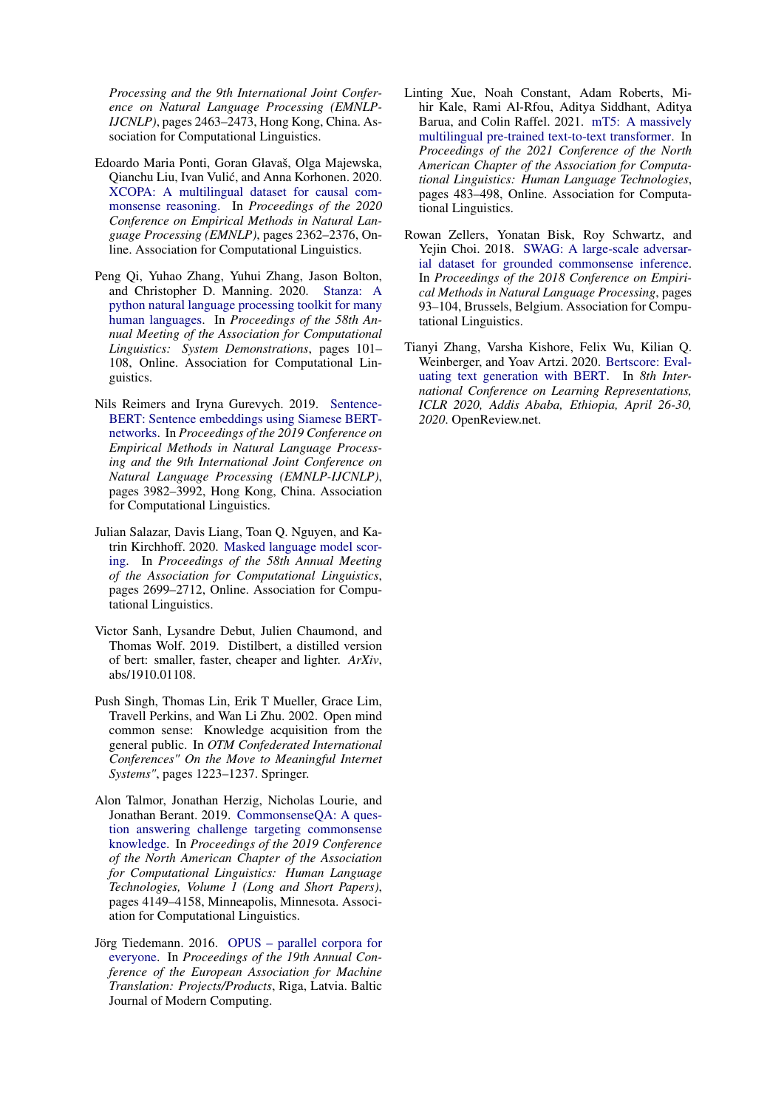*Processing and the 9th International Joint Conference on Natural Language Processing (EMNLP-IJCNLP)*, pages 2463–2473, Hong Kong, China. Association for Computational Linguistics.

- <span id="page-11-2"></span>Edoardo Maria Ponti, Goran Glavaš, Olga Majewska, Qianchu Liu, Ivan Vulic, and Anna Korhonen. 2020. ´ [XCOPA: A multilingual dataset for causal com](https://doi.org/10.18653/v1/2020.emnlp-main.185)[monsense reasoning.](https://doi.org/10.18653/v1/2020.emnlp-main.185) In *Proceedings of the 2020 Conference on Empirical Methods in Natural Language Processing (EMNLP)*, pages 2362–2376, Online. Association for Computational Linguistics.
- <span id="page-11-7"></span>Peng Qi, Yuhao Zhang, Yuhui Zhang, Jason Bolton, and Christopher D. Manning. 2020. [Stanza: A](https://doi.org/10.18653/v1/2020.acl-demos.14) [python natural language processing toolkit for many](https://doi.org/10.18653/v1/2020.acl-demos.14) [human languages.](https://doi.org/10.18653/v1/2020.acl-demos.14) In *Proceedings of the 58th Annual Meeting of the Association for Computational Linguistics: System Demonstrations*, pages 101– 108, Online. Association for Computational Linguistics.
- <span id="page-11-9"></span>Nils Reimers and Iryna Gurevych. 2019. [Sentence-](https://doi.org/10.18653/v1/D19-1410)[BERT: Sentence embeddings using Siamese BERT](https://doi.org/10.18653/v1/D19-1410)[networks.](https://doi.org/10.18653/v1/D19-1410) In *Proceedings of the 2019 Conference on Empirical Methods in Natural Language Processing and the 9th International Joint Conference on Natural Language Processing (EMNLP-IJCNLP)*, pages 3982–3992, Hong Kong, China. Association for Computational Linguistics.
- <span id="page-11-3"></span>Julian Salazar, Davis Liang, Toan Q. Nguyen, and Katrin Kirchhoff. 2020. [Masked language model scor](https://doi.org/10.18653/v1/2020.acl-main.240)[ing.](https://doi.org/10.18653/v1/2020.acl-main.240) In *Proceedings of the 58th Annual Meeting of the Association for Computational Linguistics*, pages 2699–2712, Online. Association for Computational Linguistics.
- <span id="page-11-4"></span>Victor Sanh, Lysandre Debut, Julien Chaumond, and Thomas Wolf. 2019. Distilbert, a distilled version of bert: smaller, faster, cheaper and lighter. *ArXiv*, abs/1910.01108.
- <span id="page-11-6"></span>Push Singh, Thomas Lin, Erik T Mueller, Grace Lim, Travell Perkins, and Wan Li Zhu. 2002. Open mind common sense: Knowledge acquisition from the general public. In *OTM Confederated International Conferences" On the Move to Meaningful Internet Systems"*, pages 1223–1237. Springer.
- <span id="page-11-0"></span>Alon Talmor, Jonathan Herzig, Nicholas Lourie, and Jonathan Berant. 2019. [CommonsenseQA: A ques](https://doi.org/10.18653/v1/N19-1421)[tion answering challenge targeting commonsense](https://doi.org/10.18653/v1/N19-1421) [knowledge.](https://doi.org/10.18653/v1/N19-1421) In *Proceedings of the 2019 Conference of the North American Chapter of the Association for Computational Linguistics: Human Language Technologies, Volume 1 (Long and Short Papers)*, pages 4149–4158, Minneapolis, Minnesota. Association for Computational Linguistics.
- <span id="page-11-8"></span>Jörg Tiedemann. 2016. [OPUS – parallel corpora for](https://www.aclweb.org/anthology/2016.eamt-2.8) [everyone.](https://www.aclweb.org/anthology/2016.eamt-2.8) In *Proceedings of the 19th Annual Conference of the European Association for Machine Translation: Projects/Products*, Riga, Latvia. Baltic Journal of Modern Computing.
- <span id="page-11-5"></span>Linting Xue, Noah Constant, Adam Roberts, Mihir Kale, Rami Al-Rfou, Aditya Siddhant, Aditya Barua, and Colin Raffel. 2021. [mT5: A massively](https://www.aclweb.org/anthology/2021.naacl-main.41) [multilingual pre-trained text-to-text transformer.](https://www.aclweb.org/anthology/2021.naacl-main.41) In *Proceedings of the 2021 Conference of the North American Chapter of the Association for Computational Linguistics: Human Language Technologies*, pages 483–498, Online. Association for Computational Linguistics.
- <span id="page-11-1"></span>Rowan Zellers, Yonatan Bisk, Roy Schwartz, and Yejin Choi. 2018. [SWAG: A large-scale adversar](https://doi.org/10.18653/v1/D18-1009)[ial dataset for grounded commonsense inference.](https://doi.org/10.18653/v1/D18-1009) In *Proceedings of the 2018 Conference on Empirical Methods in Natural Language Processing*, pages 93–104, Brussels, Belgium. Association for Computational Linguistics.
- <span id="page-11-10"></span>Tianyi Zhang, Varsha Kishore, Felix Wu, Kilian Q. Weinberger, and Yoav Artzi. 2020. [Bertscore: Eval](https://openreview.net/forum?id=SkeHuCVFDr)[uating text generation with BERT.](https://openreview.net/forum?id=SkeHuCVFDr) In *8th International Conference on Learning Representations, ICLR 2020, Addis Ababa, Ethiopia, April 26-30, 2020*. OpenReview.net.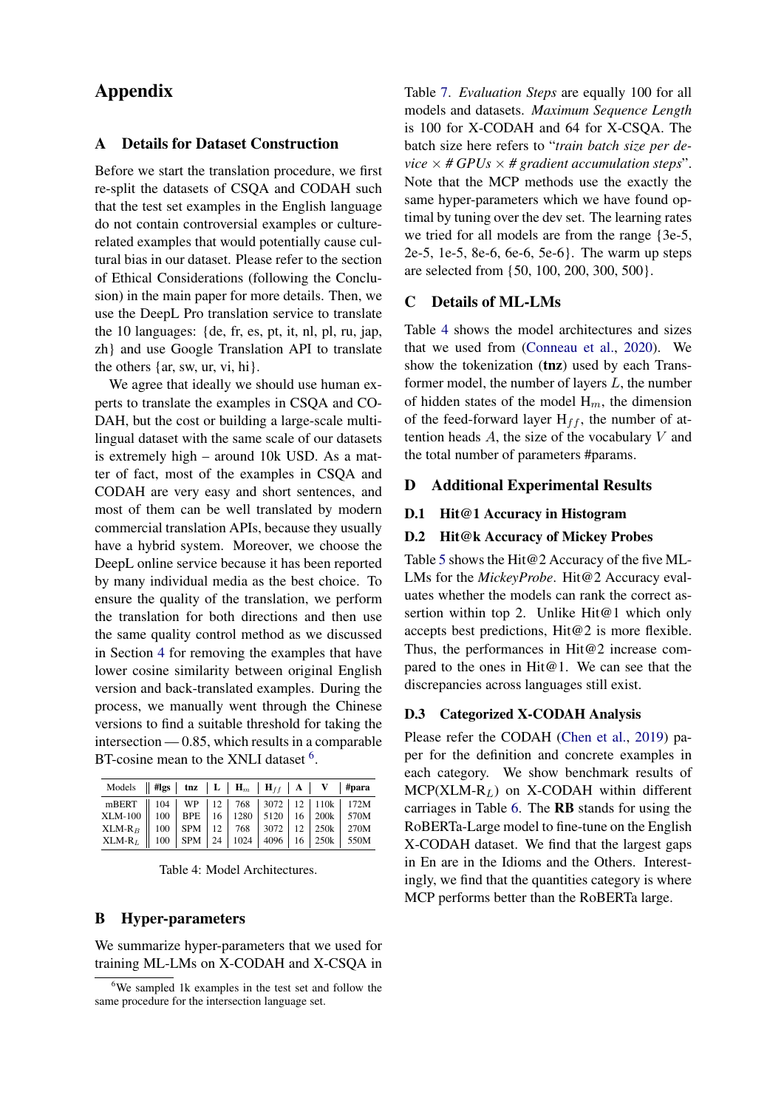# Appendix

# A Details for Dataset Construction

Before we start the translation procedure, we first re-split the datasets of CSQA and CODAH such that the test set examples in the English language do not contain controversial examples or culturerelated examples that would potentially cause cultural bias in our dataset. Please refer to the section of Ethical Considerations (following the Conclusion) in the main paper for more details. Then, we use the DeepL Pro translation service to translate the 10 languages: {de, fr, es, pt, it, nl, pl, ru, jap, zh} and use Google Translation API to translate the others {ar, sw, ur, vi, hi}.

We agree that ideally we should use human experts to translate the examples in CSQA and CO-DAH, but the cost or building a large-scale multilingual dataset with the same scale of our datasets is extremely high – around 10k USD. As a matter of fact, most of the examples in CSQA and CODAH are very easy and short sentences, and most of them can be well translated by modern commercial translation APIs, because they usually have a hybrid system. Moreover, we choose the DeepL online service because it has been reported by many individual media as the best choice. To ensure the quality of the translation, we perform the translation for both directions and then use the same quality control method as we discussed in Section [4](#page-4-0) for removing the examples that have lower cosine similarity between original English version and back-translated examples. During the process, we manually went through the Chinese versions to find a suitable threshold for taking the intersection — 0.85, which results in a comparable BT-cosine mean to the XNLI dataset <sup>[6](#page-12-0)</sup>.

<span id="page-12-1"></span>

| Models    #lgs   tnz   L   H <sub>m</sub>   H <sub>ff</sub>   A   V   #para                                                                                                                                                                                                                                            |  |  |  |  |
|------------------------------------------------------------------------------------------------------------------------------------------------------------------------------------------------------------------------------------------------------------------------------------------------------------------------|--|--|--|--|
| $\begin{tabular}{l c c c c c c c} \hline mBERT & 104 & WP & 12 & 768 & 3072 & 12 & 110k & 172M \\ \hline XLM-100 & 100 & BPE & 16 & 1280 & 5120 & 16 & 200k & 570M \\ XLM-R_{B} & 100 & SPM & 12 & 768 & 3072 & 12 & 250k & 270M \\ XLM-R_L & 100 & SPM & 24 & 1024 & 4096 & 16 & 250k & 550M \\ \hline \end{tabular}$ |  |  |  |  |
|                                                                                                                                                                                                                                                                                                                        |  |  |  |  |
|                                                                                                                                                                                                                                                                                                                        |  |  |  |  |
|                                                                                                                                                                                                                                                                                                                        |  |  |  |  |

Table 4: Model Architectures.

# B Hyper-parameters

We summarize hyper-parameters that we used for training ML-LMs on X-CODAH and X-CSQA in Table [7.](#page-13-1) *Evaluation Steps* are equally 100 for all models and datasets. *Maximum Sequence Length* is 100 for X-CODAH and 64 for X-CSQA. The batch size here refers to "*train batch size per device*  $\times$  *# GPUs*  $\times$  *# gradient accumulation steps*". Note that the MCP methods use the exactly the same hyper-parameters which we have found optimal by tuning over the dev set. The learning rates we tried for all models are from the range {3e-5, 2e-5, 1e-5, 8e-6, 6e-6, 5e-6}. The warm up steps are selected from {50, 100, 200, 300, 500}.

# C Details of ML-LMs

Table [4](#page-12-1) shows the model architectures and sizes that we used from [\(Conneau et al.,](#page-9-1) [2020\)](#page-9-1). We show the tokenization (tnz) used by each Transformer model, the number of layers L, the number of hidden states of the model  $H_m$ , the dimension of the feed-forward layer  $H_{ff}$ , the number of attention heads  $A$ , the size of the vocabulary  $V$  and the total number of parameters #params.

# D Additional Experimental Results

## D.1 Hit@1 Accuracy in Histogram

#### D.2 Hit@k Accuracy of Mickey Probes

Table [5](#page-13-2) shows the Hit@2 Accuracy of the five ML-LMs for the *MickeyProbe*. Hit@2 Accuracy evaluates whether the models can rank the correct assertion within top 2. Unlike Hit@1 which only accepts best predictions, Hit@2 is more flexible. Thus, the performances in Hit@2 increase compared to the ones in Hit@1. We can see that the discrepancies across languages still exist.

#### D.3 Categorized X-CODAH Analysis

Please refer the CODAH [\(Chen et al.,](#page-9-0) [2019\)](#page-9-0) paper for the definition and concrete examples in each category. We show benchmark results of  $MCP(XLM-R<sub>L</sub>)$  on X-CODAH within different carriages in Table [6.](#page-13-3) The RB stands for using the RoBERTa-Large model to fine-tune on the English X-CODAH dataset. We find that the largest gaps in En are in the Idioms and the Others. Interestingly, we find that the quantities category is where MCP performs better than the RoBERTa large.

<span id="page-12-0"></span><sup>6</sup>We sampled 1k examples in the test set and follow the same procedure for the intersection language set.